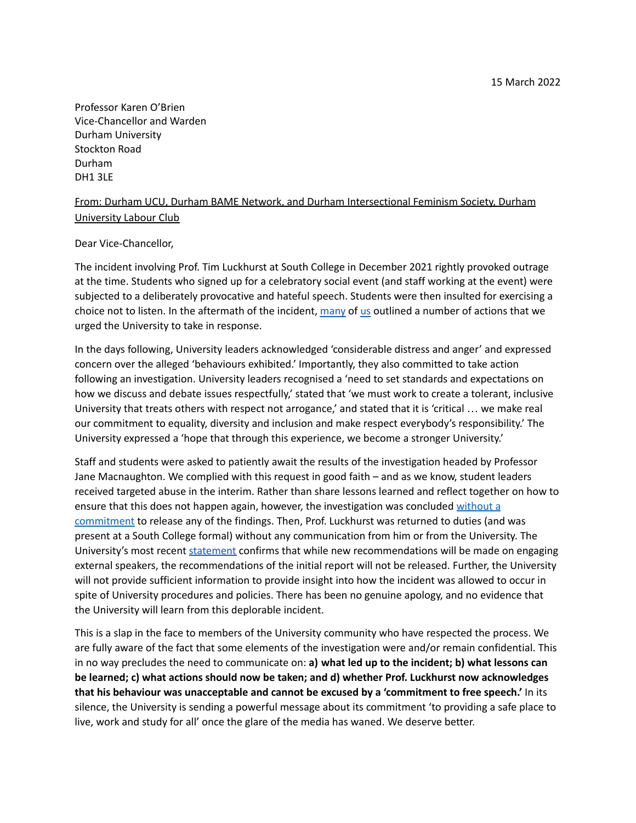Professor Karen O'Brien Vice-Chancellor and Warden Durham University Stockton Road Durham DH1 3LE

## From: Durham UCU, Durham BAME Network, and Durham Intersectional Feminism Society, Durham University Labour Club

## Dear Vice-Chancellor,

The incident involving Prof. Tim Luckhurst at South College in December 2021 rightly provoked outrage at the time. Students who signed up for a celebratory social event (and staff working at the event) were subjected to a deliberately provocative and hateful speech. Students were then insulted for exercising a choice not to listen. In the aftermath of the incident, [many](https://docs.google.com/document/u/1/d/1X_hcd-ikfZKoOYc984yseqhzPYT1DGFjuRPZKRfDapM/mobilebasic?fbclid=IwAR0089HCXeUMSqtCrm4Nk0oLC0_U3T80hYBJt9pedqc1pxnYRablyijMzd4) of [us](http://durhamucu.org.uk/south-college-statement/) outlined a number of actions that we urged the University to take in response.

In the days following, University leaders acknowledged 'considerable distress and anger' and expressed concern over the alleged 'behaviours exhibited.' Importantly, they also committed to take action following an investigation. University leaders recognised a 'need to set standards and expectations on how we discuss and debate issues respectfully,' stated that 'we must work to create a tolerant, inclusive University that treats others with respect not arrogance,' and stated that it is 'critical … we make real our commitment to equality, diversity and inclusion and make respect everybody's responsibility.' The University expressed a 'hope that through this experience, we become a stronger University.'

Staff and students were asked to patiently await the results of the investigation headed by Professor Jane Macnaughton. We complied with this request in good faith – and as we know, student leaders received targeted abuse in the interim. Rather than share lessons learned and reflect together on how to ensure that this does not happen again, however, the investigation was concluded [without](https://www.durhamsu.com/articles/seun-twins-trust-means-transparency) a [commitment](https://www.durhamsu.com/articles/seun-twins-trust-means-transparency) to release any of the findings. Then, Prof. Luckhurst was returned to duties (and was present at a South College formal) without any communication from him or from the University. The University's most recent [statement](https://www.durham.ac.uk/about-us/notices/statement-on-south-college-dinner/) confirms that while new recommendations will be made on engaging external speakers, the recommendations of the initial report will not be released. Further, the University will not provide sufficient information to provide insight into how the incident was allowed to occur in spite of University procedures and policies. There has been no genuine apology, and no evidence that the University will learn from this deplorable incident.

This is a slap in the face to members of the University community who have respected the process. We are fully aware of the fact that some elements of the investigation were and/or remain confidential. This in no way precludes the need to communicate on: **a) what led up to the incident; b) what lessons can be learned; c) what actions should now be taken; and d) whether Prof. Luckhurst now acknowledges that his behaviour was unacceptable and cannot be excused by a 'commitment to free speech.'** In its silence, the University is sending a powerful message about its commitment 'to providing a safe place to live, work and study for all' once the glare of the media has waned. We deserve better.